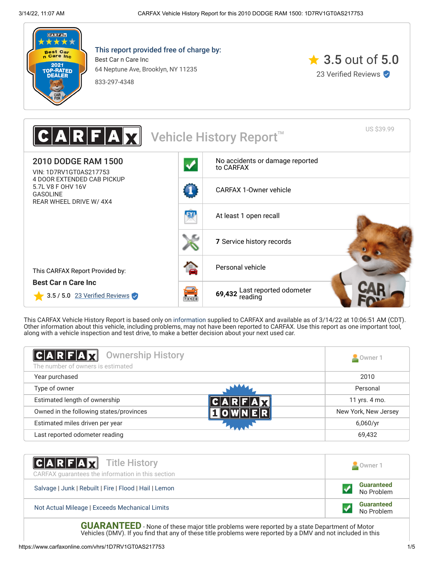

This report provided free of charge by: Best Car n Care Inc 64 Neptune Ave, Brooklyn, NY 11235







This CARFAX Vehicle History Report is based only on [information](http://www.carfax.com/company/vhr-data-sources) supplied to CARFAX and available as of 3/14/22 at 10:06:51 AM (CDT). Other information about this vehicle, including problems, may not have been reported to CARFAX. Use this report as one important tool, along with a vehicle inspection and test drive, to make a better decision about your next used car.

<span id="page-0-0"></span>

| C A R F A X <br><b>Ownership History</b><br>The number of owners is estimated | Owner 1              |
|-------------------------------------------------------------------------------|----------------------|
| Year purchased                                                                | 2010                 |
| Type of owner                                                                 | Personal             |
| Estimated length of ownership                                                 | 11 yrs. 4 mo.        |
| Owned in the following states/provinces                                       | New York, New Jersey |
| Estimated miles driven per year                                               | 6,060/yr             |
| Last reported odometer reading                                                | 69,432               |

| <b>CARFAX</b> Title History<br>CARFAX guarantees the information in this section | Owner 1                         |
|----------------------------------------------------------------------------------|---------------------------------|
| Salvage   Junk   Rebuilt   Fire   Flood   Hail   Lemon                           | <b>Guaranteed</b><br>No Problem |
| Not Actual Mileage   Exceeds Mechanical Limits                                   | <b>Guaranteed</b><br>No Problem |

**GUARANTEED** - None of these major title problems were reported by a state Department of Motor Vehicles (DMV). If you find that any of these title problems were reported by a DMV and not included in this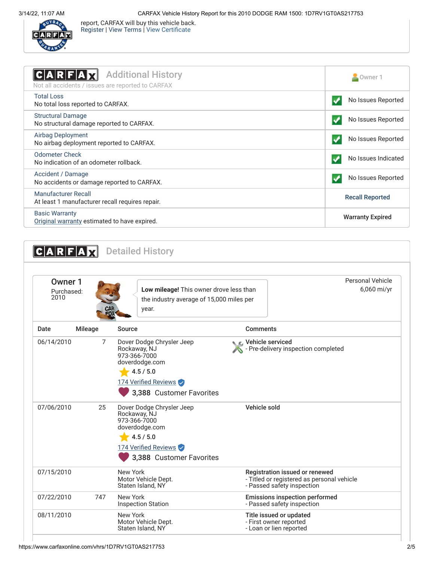

report, CARFAX will buy this vehicle back. [Register](https://www.carfax.com/Service/bbg) | [View Terms](http://www.carfaxonline.com/legal/bbgTerms) | [View Certificate](https://www.carfaxonline.com/vhrs/1D7RV1GT0AS217753)

<span id="page-1-0"></span>

| <b>Additional History</b><br>C A R F A<br>Not all accidents / issues are reported to CARFAX | Owner 1                  |
|---------------------------------------------------------------------------------------------|--------------------------|
| <b>Total Loss</b><br>No total loss reported to CARFAX.                                      | No Issues Reported       |
| <b>Structural Damage</b><br>No structural damage reported to CARFAX.                        | No Issues Reported       |
| Airbag Deployment<br>No airbag deployment reported to CARFAX.                               | No Issues Reported       |
| Odometer Check<br>No indication of an odometer rollback.                                    | No Issues Indicated<br>✔ |
| Accident / Damage<br>No accidents or damage reported to CARFAX.                             | No Issues Reported       |
| Manufacturer Recall<br>At least 1 manufacturer recall requires repair.                      | <b>Recall Reported</b>   |
| <b>Basic Warranty</b><br>Original warranty estimated to have expired.                       | <b>Warranty Expired</b>  |

<span id="page-1-2"></span><span id="page-1-1"></span>

| Owner 1<br>Purchased:<br>2010 |                                    | Low mileage! This owner drove less than<br>the industry average of 15,000 miles per<br>year.                 |                                                                              | <b>Personal Vehicle</b><br>6,060 mi/yr                                       |
|-------------------------------|------------------------------------|--------------------------------------------------------------------------------------------------------------|------------------------------------------------------------------------------|------------------------------------------------------------------------------|
| Date<br><b>Mileage</b>        | Source                             |                                                                                                              | <b>Comments</b>                                                              |                                                                              |
| 06/14/2010                    | 7<br>Rockaway, NJ<br>973-366-7000  | Dover Dodge Chrysler Jeep<br>doverdodge.com<br>4.5 / 5.0<br>174 Verified Reviews<br>3,388 Customer Favorites | C Vehicle serviced                                                           | - Pre-delivery inspection completed                                          |
| 07/06/2010                    | 25<br>Rockaway, NJ<br>973-366-7000 | Dover Dodge Chrysler Jeep<br>doverdodge.com<br>4.5 / 5.0<br>174 Verified Reviews<br>3,388 Customer Favorites | Vehicle sold                                                                 |                                                                              |
| 07/15/2010                    | New York                           | Motor Vehicle Dept.<br>Staten Island, NY                                                                     | - Passed safety inspection                                                   | Registration issued or renewed<br>- Titled or registered as personal vehicle |
| 07/22/2010                    | 747<br>New York                    | <b>Inspection Station</b>                                                                                    | - Passed safety inspection                                                   | <b>Emissions inspection performed</b>                                        |
| 08/11/2010                    | New York                           | Motor Vehicle Dept.<br>Staten Island, NY                                                                     | Title issued or updated<br>- First owner reported<br>- Loan or lien reported |                                                                              |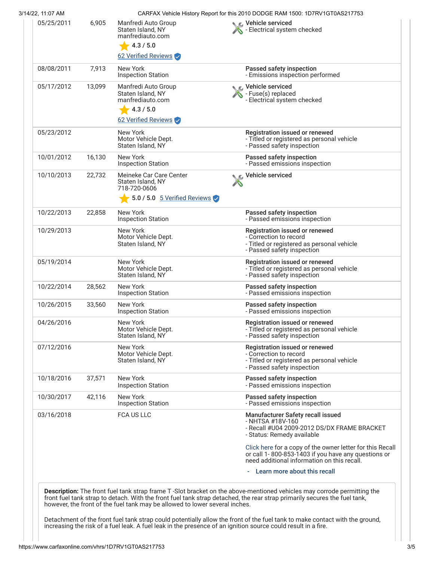| 3/14/22, 11:07 AM |        |                                                                                                                  | CARFAX Vehicle History Report for this 2010 DODGE RAM 1500: 1D7RV1GT0AS217753                                                                                   |
|-------------------|--------|------------------------------------------------------------------------------------------------------------------|-----------------------------------------------------------------------------------------------------------------------------------------------------------------|
| 05/25/2011        | 6,905  | Manfredi Auto Group<br>Staten Island, NY<br>manfrediauto.com<br>4.3 / 5.0<br>62 Verified Reviews                 | Vehicle serviced<br>- Electrical system checked                                                                                                                 |
| 08/08/2011        | 7,913  | New York<br><b>Inspection Station</b>                                                                            | Passed safety inspection<br>- Emissions inspection performed                                                                                                    |
| 05/17/2012        | 13,099 | Manfredi Auto Group<br>Staten Island, NY<br>manfrediauto.com<br>4.3 / 5.0<br>62 Verified Reviews                 | <b>NE</b> Vehicle serviced<br>Fuse(s) replaced<br>- Electrical system checked                                                                                   |
| 05/23/2012        |        | New York<br>Motor Vehicle Dept.<br>Staten Island, NY                                                             | Registration issued or renewed<br>- Titled or registered as personal vehicle<br>- Passed safety inspection                                                      |
| 10/01/2012        | 16,130 | New York<br><b>Inspection Station</b>                                                                            | Passed safety inspection<br>- Passed emissions inspection                                                                                                       |
| 10/10/2013        | 22,732 | Meineke Car Care Center<br>Staten Island, NY<br>718-720-0606<br>5.0 / 5.0 $\frac{5 \text{ Verified Reviews}}{2}$ | Vehicle serviced                                                                                                                                                |
| 10/22/2013        | 22,858 | New York<br><b>Inspection Station</b>                                                                            | Passed safety inspection<br>- Passed emissions inspection                                                                                                       |
| 10/29/2013        |        | New York<br>Motor Vehicle Dept.<br>Staten Island, NY                                                             | Registration issued or renewed<br>- Correction to record<br>- Titled or registered as personal vehicle<br>- Passed safety inspection                            |
| 05/19/2014        |        | New York<br>Motor Vehicle Dept.<br>Staten Island, NY                                                             | Registration issued or renewed<br>- Titled or registered as personal vehicle<br>- Passed safety inspection                                                      |
| 10/22/2014        | 28,562 | New York<br><b>Inspection Station</b>                                                                            | Passed safety inspection<br>- Passed emissions inspection                                                                                                       |
| 10/26/2015        | 33,560 | New York<br><b>Inspection Station</b>                                                                            | Passed safety inspection<br>- Passed emissions inspection                                                                                                       |
| 04/26/2016        |        | New York<br>Motor Vehicle Dept.<br>Staten Island, NY                                                             | Registration issued or renewed<br>- Titled or registered as personal vehicle<br>- Passed safety inspection                                                      |
| 07/12/2016        |        | New York<br>Motor Vehicle Dept.<br>Staten Island, NY                                                             | Registration issued or renewed<br>- Correction to record<br>- Titled or registered as personal vehicle<br>- Passed safety inspection                            |
| 10/18/2016        | 37,571 | New York<br><b>Inspection Station</b>                                                                            | Passed safety inspection<br>- Passed emissions inspection                                                                                                       |
| 10/30/2017        | 42,116 | New York<br><b>Inspection Station</b>                                                                            | Passed safety inspection<br>- Passed emissions inspection                                                                                                       |
| 03/16/2018        |        | <b>FCA US LLC</b>                                                                                                | Manufacturer Safety recall issued<br>- NHTSA #18V-160<br>- Recall #U04 2009-2012 DS/DX FRAME BRACKET<br>- Status: Remedy available                              |
|                   |        |                                                                                                                  | Click here for a copy of the owner letter for this Recall<br>or call 1-800-853-1403 if you have any questions or<br>need additional information on this recall. |
|                   |        |                                                                                                                  | - Learn more about this recall                                                                                                                                  |

Detachment of the front fuel tank strap could potentially allow the front of the fuel tank to make contact with the ground, increasing the risk of a fuel leak. A fuel leak in the presence of an ignition source could result in a fire.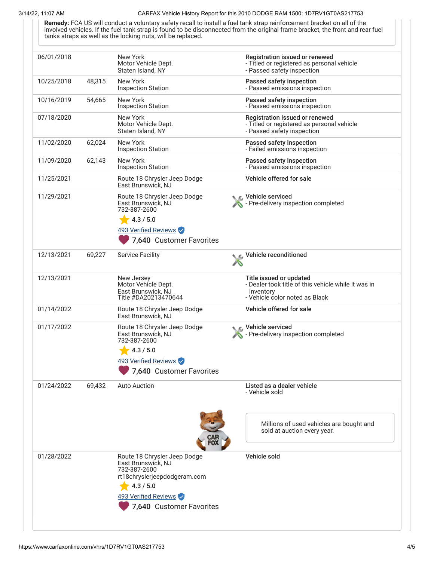## 3/14/22, 11:07 AM CARFAX Vehicle History Report for this 2010 DODGE RAM 1500: 1D7RV1GT0AS217753

**Remedy:** FCA US will conduct a voluntary safety recall to install a fuel tank strap reinforcement bracket on all of the involved vehicles. If the fuel tank strap is found to be disconnected from the original frame bracket, the front and rear fuel tanks straps as well as the locking nuts, will be replaced.

| 06/01/2018 |        | New York<br>Motor Vehicle Dept.<br>Staten Island, NY                                                                                                                | Registration issued or renewed<br>- Titled or registered as personal vehicle<br>- Passed safety inspection                    |
|------------|--------|---------------------------------------------------------------------------------------------------------------------------------------------------------------------|-------------------------------------------------------------------------------------------------------------------------------|
| 10/25/2018 | 48,315 | New York<br><b>Inspection Station</b>                                                                                                                               | Passed safety inspection<br>- Passed emissions inspection                                                                     |
| 10/16/2019 | 54,665 | New York<br><b>Inspection Station</b>                                                                                                                               | Passed safety inspection<br>- Passed emissions inspection                                                                     |
| 07/18/2020 |        | New York<br>Motor Vehicle Dept.<br>Staten Island, NY                                                                                                                | Registration issued or renewed<br>- Titled or registered as personal vehicle<br>- Passed safety inspection                    |
| 11/02/2020 | 62,024 | New York<br><b>Inspection Station</b>                                                                                                                               | Passed safety inspection<br>- Failed emissions inspection                                                                     |
| 11/09/2020 | 62,143 | New York<br><b>Inspection Station</b>                                                                                                                               | Passed safety inspection<br>- Passed emissions inspection                                                                     |
| 11/25/2021 |        | Route 18 Chrysler Jeep Dodge<br>East Brunswick, NJ                                                                                                                  | Vehicle offered for sale                                                                                                      |
| 11/29/2021 |        | Route 18 Chrysler Jeep Dodge<br>East Brunswick, NJ<br>732-387-2600<br>4.3 / 5.0<br>493 Verified Reviews<br>7,640 Customer Favorites                                 | Vehicle serviced<br>- Pre-delivery inspection completed                                                                       |
| 12/13/2021 | 69,227 | <b>Service Facility</b>                                                                                                                                             | Vehicle reconditioned                                                                                                         |
| 12/13/2021 |        | New Jersey<br>Motor Vehicle Dept.<br>East Brunswick, NJ<br>Title #DA20213470644                                                                                     | Title issued or updated<br>- Dealer took title of this vehicle while it was in<br>inventory<br>- Vehicle color noted as Black |
| 01/14/2022 |        | Route 18 Chrysler Jeep Dodge<br>East Brunswick, NJ                                                                                                                  | Vehicle offered for sale                                                                                                      |
| 01/17/2022 |        | Route 18 Chrysler Jeep Dodge<br>East Brunswick, NJ<br>732-387-2600<br>4.3 / 5.0<br>493 Verified Reviews<br>7,640 Customer Favorites                                 | C Vehicle serviced<br>- Pre-delivery inspection completed                                                                     |
| 01/24/2022 | 69,432 | <b>Auto Auction</b>                                                                                                                                                 | Listed as a dealer vehicle<br>- Vehicle sold                                                                                  |
|            |        |                                                                                                                                                                     | Millions of used vehicles are bought and<br>sold at auction every year.                                                       |
| 01/28/2022 |        | Route 18 Chrysler Jeep Dodge<br>East Brunswick, NJ<br>732-387-2600<br>rt18chryslerjeepdodgeram.com<br>4.3 / 5.0<br>493 Verified Reviews<br>7,640 Customer Favorites | Vehicle sold                                                                                                                  |